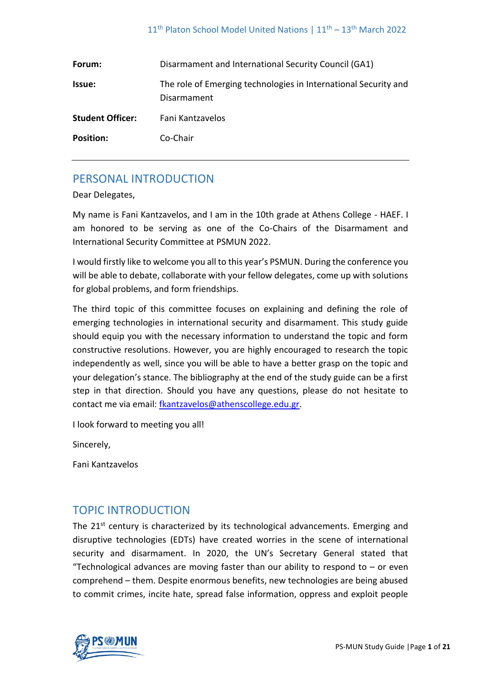| Forum:                  | Disarmament and International Security Council (GA1)                           |
|-------------------------|--------------------------------------------------------------------------------|
| <b>Issue:</b>           | The role of Emerging technologies in International Security and<br>Disarmament |
| <b>Student Officer:</b> | Fani Kantzavelos                                                               |
| <b>Position:</b>        | Co-Chair                                                                       |

# PERSONAL INTRODUCTION

Dear Delegates,

My name is Fani Kantzavelos, and I am in the 10th grade at Athens College - HAEF. I am honored to be serving as one of the Co-Chairs of the Disarmament and International Security Committee at PSMUN 2022.

I would firstly like to welcome you all to this year's PSMUN. During the conference you will be able to debate, collaborate with your fellow delegates, come up with solutions for global problems, and form friendships.

The third topic of this committee focuses on explaining and defining the role of emerging technologies in international security and disarmament. This study guide should equip you with the necessary information to understand the topic and form constructive resolutions. However, you are highly encouraged to research the topic independently as well, since you will be able to have a better grasp on the topic and your delegation's stance. The bibliography at the end of the study guide can be a first step in that direction. Should you have any questions, please do not hesitate to contact me via email: [fkantzavelos@athenscollege.edu.gr.](mailto:fkantzavelos@athenscollege.edu.gr)

I look forward to meeting you all!

Sincerely,

Fani Kantzavelos

# TOPIC INTRODUCTION

The 21<sup>st</sup> century is characterized by its technological advancements. Emerging and disruptive technologies (EDTs) have created worries in the scene of international security and disarmament. In 2020, the UN's Secretary General stated that "Technological advances are moving faster than our ability to respond to  $-$  or even comprehend – them. Despite enormous benefits, new technologies are being abused to commit crimes, incite hate, spread false information, oppress and exploit people

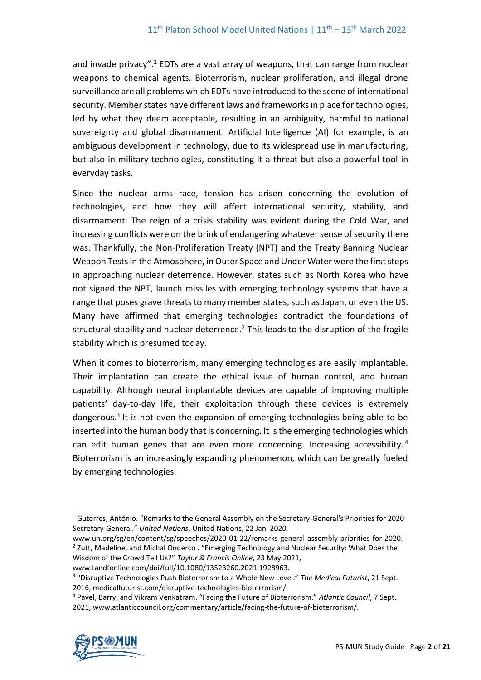and invade privacy".<sup>1</sup> EDTs are a vast array of weapons, that can range from nuclear weapons to chemical agents. Bioterrorism, nuclear proliferation, and illegal drone surveillance are all problems which EDTs have introduced to the scene of international security. Member states have different laws and frameworks in place for technologies, led by what they deem acceptable, resulting in an ambiguity, harmful to national sovereignty and global disarmament. Artificial Intelligence (AI) for example, is an ambiguous development in technology, due to its widespread use in manufacturing, but also in military technologies, constituting it a threat but also a powerful tool in everyday tasks.

Since the nuclear arms race, tension has arisen concerning the evolution of technologies, and how they will affect international security, stability, and disarmament. The reign of a crisis stability was evident during the Cold War, and increasing conflicts were on the brink of endangering whatever sense of security there was. Thankfully, the Non-Proliferation Treaty (NPT) and the Treaty Banning Nuclear Weapon Tests in the Atmosphere, in Outer Space and Under Water were the first steps in approaching nuclear deterrence. However, states such as North Korea who have not signed the NPT, launch missiles with emerging technology systems that have a range that poses grave threats to many member states, such as Japan, or even the US. Many have affirmed that emerging technologies contradict the foundations of structural stability and nuclear deterrence.<sup>2</sup> This leads to the disruption of the fragile stability which is presumed today.

When it comes to bioterrorism, many emerging technologies are easily implantable. Their implantation can create the ethical issue of human control, and human capability. Although neural implantable devices are capable of improving multiple patients' day-to-day life, their exploitation through these devices is extremely dangerous.<sup>3</sup> It is not even the expansion of emerging technologies being able to be inserted into the human body that is concerning. It is the emerging technologies which can edit human genes that are even more concerning. Increasing accessibility.<sup>4</sup> Bioterrorism is an increasingly expanding phenomenon, which can be greatly fueled by emerging technologies.

<sup>4</sup> Pavel, Barry, and Vikram Venkatram. "Facing the Future of Bioterrorism." *Atlantic Council*, 7 Sept. 2021, www.atlanticcouncil.org/commentary/article/facing-the-future-of-bioterrorism/.



<sup>1</sup> Guterres, António. "Remarks to the General Assembly on the Secretary-General's Priorities for 2020 Secretary-General." *United Nations*, United Nations, 22 Jan. 2020,

www.un.org/sg/en/content/sg/speeches/2020-01-22/remarks-general-assembly-priorities-for-2020. <sup>2</sup> Zutt, Madeline, and Michal Onderco . "Emerging Technology and Nuclear Security: What Does the Wisdom of the Crowd Tell Us?" *Taylor & Francis Online*, 23 May 2021,

www.tandfonline.com/doi/full/10.1080/13523260.2021.1928963.

<sup>3</sup> "Disruptive Technologies Push Bioterrorism to a Whole New Level." *The Medical Futurist*, 21 Sept. 2016, medicalfuturist.com/disruptive-technologies-bioterrorism/.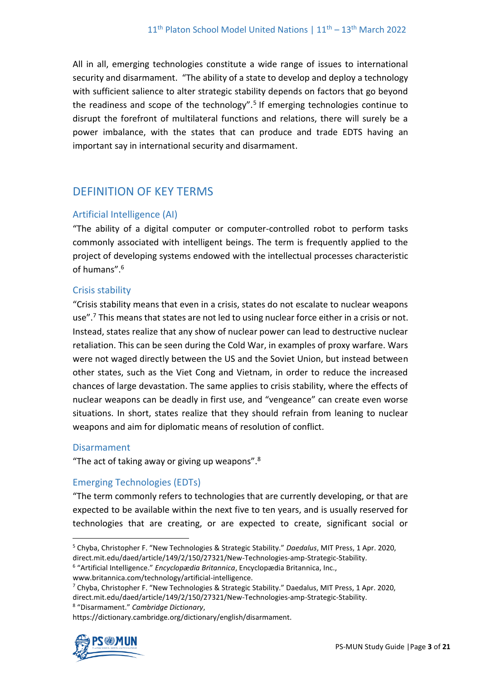All in all, emerging technologies constitute a wide range of issues to international security and disarmament. "The ability of a state to develop and deploy a technology with sufficient salience to alter strategic stability depends on factors that go beyond the readiness and scope of the technology".<sup>5</sup> If emerging technologies continue to disrupt the forefront of multilateral functions and relations, there will surely be a power imbalance, with the states that can produce and trade EDTS having an important say in international security and disarmament.

# DEFINITION OF KEY TERMS

# Artificial Intelligence (AI)

"The ability of a digital computer or computer-controlled robot to perform tasks commonly associated with intelligent beings. The term is frequently applied to the project of developing systems endowed with the intellectual processes characteristic of humans".<sup>6</sup>

## Crisis stability

"Crisis stability means that even in a crisis, states do not escalate to nuclear weapons use".<sup>7</sup> This means that states are not led to using nuclear force either in a crisis or not. Instead, states realize that any show of nuclear power can lead to destructive nuclear retaliation. This can be seen during the Cold War, in examples of proxy warfare. Wars were not waged directly between the US and the Soviet Union, but instead between other states, such as the Viet Cong and Vietnam, in order to reduce the increased chances of large devastation. The same applies to crisis stability, where the effects of nuclear weapons can be deadly in first use, and "vengeance" can create even worse situations. In short, states realize that they should refrain from leaning to nuclear weapons and aim for diplomatic means of resolution of conflict.

## Disarmament

"The act of taking away or giving up weapons". $8$ 

# Emerging Technologies (EDTs)

"The term commonly refers to technologies that are currently developing, or that are expected to be available within the next five to ten years, and is usually reserved for technologies that are creating, or are expected to create, significant social or

www.britannica.com/technology/artificial-intelligence.

8 "Disarmament." *Cambridge Dictionary*,

https://dictionary.cambridge.org/dictionary/english/disarmament.



<sup>5</sup> Chyba, Christopher F. "New Technologies & Strategic Stability." *Daedalus*, MIT Press, 1 Apr. 2020, direct.mit.edu/daed/article/149/2/150/27321/New-Technologies-amp-Strategic-Stability.

<sup>6</sup> "Artificial Intelligence." *Encyclopædia Britannica*, Encyclopædia Britannica, Inc.,

 $7$  Chyba, Christopher F. "New Technologies & Strategic Stability." Daedalus, MIT Press, 1 Apr. 2020, direct.mit.edu/daed/article/149/2/150/27321/New-Technologies-amp-Strategic-Stability.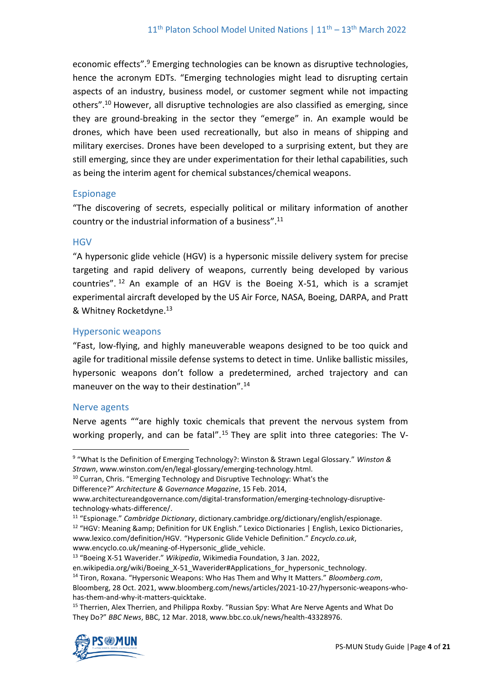economic effects".<sup>9</sup> Emerging technologies can be known as disruptive technologies, hence the acronym EDTs. "Emerging technologies might lead to disrupting certain aspects of an industry, business model, or customer segment while not impacting others". <sup>10</sup> However, all disruptive technologies are also classified as emerging, since they are ground-breaking in the sector they "emerge" in. An example would be drones, which have been used recreationally, but also in means of shipping and military exercises. Drones have been developed to a surprising extent, but they are still emerging, since they are under experimentation for their lethal capabilities, such as being the interim agent for chemical substances/chemical weapons.

#### Espionage

"The discovering of secrets, especially political or military information of another country or the industrial information of a business". 11

#### **HGV**

"A hypersonic glide vehicle (HGV) is a hypersonic missile delivery system for precise targeting and rapid delivery of weapons, currently being developed by various countries".  $12$  An example of an HGV is the Boeing X-51, which is a scramjet experimental aircraft developed by the US Air Force, NASA, Boeing, DARPA, and Pratt & Whitney Rocketdyne.<sup>13</sup>

#### Hypersonic weapons

"Fast, low-flying, and highly maneuverable weapons designed to be too quick and agile for traditional missile defense systems to detect in time. Unlike ballistic missiles, hypersonic weapons don't follow a predetermined, arched trajectory and can maneuver on the way to their destination".<sup>14</sup>

#### Nerve agents

Nerve agents ""are highly toxic chemicals that prevent the nervous system from working properly, and can be fatal".<sup>15</sup> They are split into three categories: The V-

<sup>&</sup>lt;sup>15</sup> Therrien, Alex Therrien, and Philippa Roxby. "Russian Spy: What Are Nerve Agents and What Do They Do?" *BBC News*, BBC, 12 Mar. 2018, www.bbc.co.uk/news/health-43328976.



<sup>9</sup> "What Is the Definition of Emerging Technology?: Winston & Strawn Legal Glossary." *Winston & Strawn*, www.winston.com/en/legal-glossary/emerging-technology.html.

<sup>&</sup>lt;sup>10</sup> Curran, Chris. "Emerging Technology and Disruptive Technology: What's the

Difference?" *Architecture & Governance Magazine*, 15 Feb. 2014,

www.architectureandgovernance.com/digital-transformation/emerging-technology-disruptivetechnology-whats-difference/.

<sup>11</sup> "Espionage." *Cambridge Dictionary*, dictionary.cambridge.org/dictionary/english/espionage. <sup>12</sup> "HGV: Meaning & amp; Definition for UK English." Lexico Dictionaries | English, Lexico Dictionaries, www.lexico.com/definition/HGV. "Hypersonic Glide Vehicle Definition." *Encyclo.co.uk*, www.encyclo.co.uk/meaning-of-Hypersonic\_glide\_vehicle.

<sup>13</sup> "Boeing X-51 Waverider." *Wikipedia*, Wikimedia Foundation, 3 Jan. 2022,

en.wikipedia.org/wiki/Boeing X-51 Waverider#Applications for hypersonic technology. <sup>14</sup> Tiron, Roxana. "Hypersonic Weapons: Who Has Them and Why It Matters." *Bloomberg.com*,

Bloomberg, 28 Oct. 2021, www.bloomberg.com/news/articles/2021-10-27/hypersonic-weapons-whohas-them-and-why-it-matters-quicktake.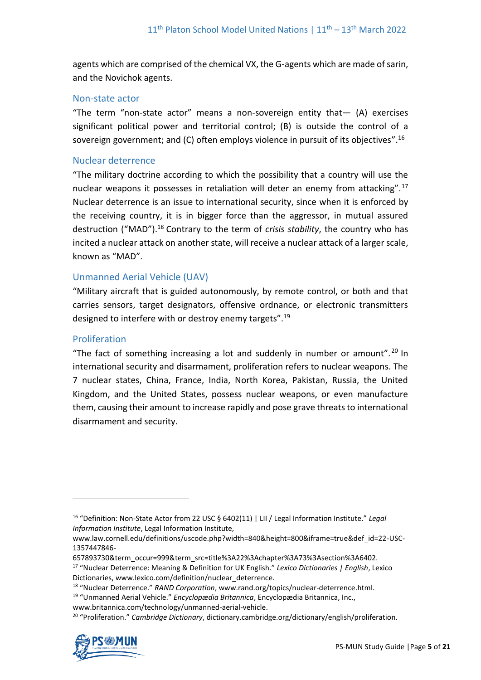agents which are comprised of the chemical VX, the G-agents which are made of sarin, and the Novichok agents.

#### Non-state actor

"The term "non-state actor" means a non-sovereign entity that— (A) exercises significant political power and territorial control; (B) is outside the control of a sovereign government; and (C) often employs violence in pursuit of its objectives".<sup>16</sup>

#### Nuclear deterrence

"The military doctrine according to which the possibility that a country will use the nuclear weapons it possesses in retaliation will deter an enemy from attacking".<sup>17</sup> Nuclear deterrence is an issue to international security, since when it is enforced by the receiving country, it is in bigger force than the aggressor, in mutual assured destruction ("MAD").<sup>18</sup> Contrary to the term of *crisis stability*, the country who has incited a nuclear attack on another state, will receive a nuclear attack of a larger scale, known as "MAD".

# Unmanned Aerial Vehicle (UAV)

"Military aircraft that is guided autonomously, by remote control, or both and that carries sensors, target designators, offensive ordnance, or electronic transmitters designed to interfere with or destroy enemy targets".<sup>19</sup>

#### Proliferation

"The fact of something increasing a lot and suddenly in number or amount".<sup>20</sup> In international security and disarmament, proliferation refers to nuclear weapons. The 7 nuclear states, China, France, India, North Korea, Pakistan, Russia, the United Kingdom, and the United States, possess nuclear weapons, or even manufacture them, causing their amount to increase rapidly and pose grave threats to international disarmament and security.

<sup>20</sup> "Proliferation." *Cambridge Dictionary*, dictionary.cambridge.org/dictionary/english/proliferation.



<sup>16</sup> "Definition: Non-State Actor from 22 USC § 6402(11) | LII / Legal Information Institute." *Legal Information Institute*, Legal Information Institute,

www.law.cornell.edu/definitions/uscode.php?width=840&height=800&iframe=true&def\_id=22-USC-1357447846-

<sup>657893730&</sup>amp;term\_occur=999&term\_src=title%3A22%3Achapter%3A73%3Asection%3A6402.

<sup>17</sup> "Nuclear Deterrence: Meaning & Definition for UK English." *Lexico Dictionaries | English*, Lexico Dictionaries, www.lexico.com/definition/nuclear\_deterrence.

<sup>18</sup> "Nuclear Deterrence." *RAND Corporation*, www.rand.org/topics/nuclear-deterrence.html.

<sup>19</sup> "Unmanned Aerial Vehicle." *Encyclopædia Britannica*, Encyclopædia Britannica, Inc.,

www.britannica.com/technology/unmanned-aerial-vehicle.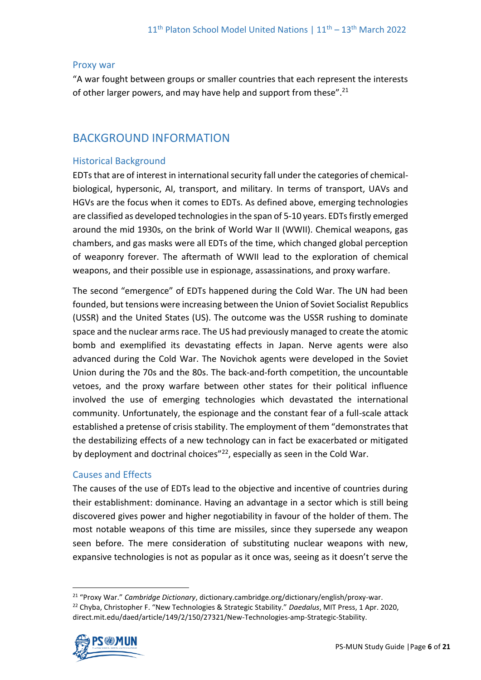#### Proxy war

"A war fought between groups or smaller countries that each represent the interests of other larger powers, and may have help and support from these".<sup>21</sup>

# BACKGROUND INFORMATION

# Historical Background

EDTs that are of interest in international security fall under the categories of chemicalbiological, hypersonic, AI, transport, and military. In terms of transport, UAVs and HGVs are the focus when it comes to EDTs. As defined above, emerging technologies are classified as developed technologies in the span of 5-10 years. EDTs firstly emerged around the mid 1930s, on the brink of World War II (WWII). Chemical weapons, gas chambers, and gas masks were all EDTs of the time, which changed global perception of weaponry forever. The aftermath of WWII lead to the exploration of chemical weapons, and their possible use in espionage, assassinations, and proxy warfare.

The second "emergence" of EDTs happened during the Cold War. The UN had been founded, but tensions were increasing between the Union of Soviet Socialist Republics (USSR) and the United States (US). The outcome was the USSR rushing to dominate space and the nuclear arms race. The US had previously managed to create the atomic bomb and exemplified its devastating effects in Japan. Nerve agents were also advanced during the Cold War. The Novichok agents were developed in the Soviet Union during the 70s and the 80s. The back-and-forth competition, the uncountable vetoes, and the proxy warfare between other states for their political influence involved the use of emerging technologies which devastated the international community. Unfortunately, the espionage and the constant fear of a full-scale attack established a pretense of crisis stability. The employment of them "demonstrates that the destabilizing effects of a new technology can in fact be exacerbated or mitigated by deployment and doctrinal choices"<sup>22</sup>, especially as seen in the Cold War.

## Causes and Effects

The causes of the use of EDTs lead to the objective and incentive of countries during their establishment: dominance. Having an advantage in a sector which is still being discovered gives power and higher negotiability in favour of the holder of them. The most notable weapons of this time are missiles, since they supersede any weapon seen before. The mere consideration of substituting nuclear weapons with new, expansive technologies is not as popular as it once was, seeing as it doesn't serve the

<sup>21</sup> "Proxy War." *Cambridge Dictionary*, dictionary.cambridge.org/dictionary/english/proxy-war. <sup>22</sup> Chyba, Christopher F. "New Technologies & Strategic Stability." *Daedalus*, MIT Press, 1 Apr. 2020, direct.mit.edu/daed/article/149/2/150/27321/New-Technologies-amp-Strategic-Stability.

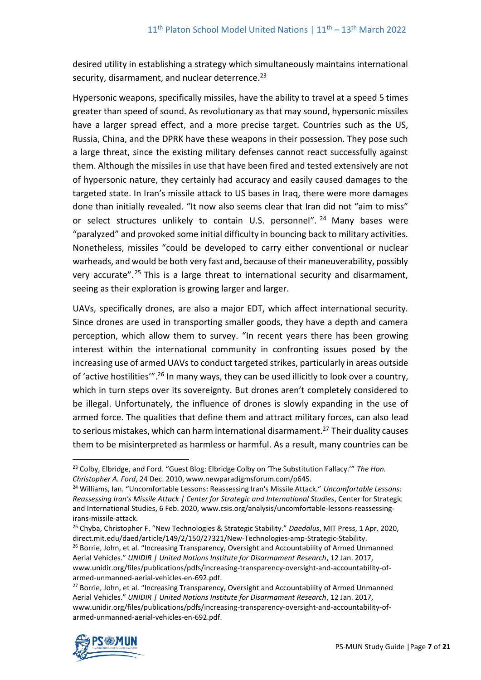desired utility in establishing a strategy which simultaneously maintains international security, disarmament, and nuclear deterrence.<sup>23</sup>

Hypersonic weapons, specifically missiles, have the ability to travel at a speed 5 times greater than speed of sound. As revolutionary as that may sound, hypersonic missiles have a larger spread effect, and a more precise target. Countries such as the US, Russia, China, and the DPRK have these weapons in their possession. They pose such a large threat, since the existing military defenses cannot react successfully against them. Although the missiles in use that have been fired and tested extensively are not of hypersonic nature, they certainly had accuracy and easily caused damages to the targeted state. In Iran's missile attack to US bases in Iraq, there were more damages done than initially revealed. "It now also seems clear that Iran did not "aim to miss" or select structures unlikely to contain U.S. personnel". <sup>24</sup> Many bases were "paralyzed" and provoked some initial difficulty in bouncing back to military activities. Nonetheless, missiles "could be developed to carry either conventional or nuclear warheads, and would be both very fast and, because of their maneuverability, possibly very accurate".<sup>25</sup> This is a large threat to international security and disarmament, seeing as their exploration is growing larger and larger.

UAVs, specifically drones, are also a major EDT, which affect international security. Since drones are used in transporting smaller goods, they have a depth and camera perception, which allow them to survey. "In recent years there has been growing interest within the international community in confronting issues posed by the increasing use of armed UAVs to conduct targeted strikes, particularly in areas outside of 'active hostilities'".<sup>26</sup> In many ways, they can be used illicitly to look over a country, which in turn steps over its sovereignty. But drones aren't completely considered to be illegal. Unfortunately, the influence of drones is slowly expanding in the use of armed force. The qualities that define them and attract military forces, can also lead to serious mistakes, which can harm international disarmament.<sup>27</sup> Their duality causes them to be misinterpreted as harmless or harmful. As a result, many countries can be

<sup>&</sup>lt;sup>27</sup> Borrie, John, et al. "Increasing Transparency, Oversight and Accountability of Armed Unmanned Aerial Vehicles." *UNIDIR | United Nations Institute for Disarmament Research*, 12 Jan. 2017, www.unidir.org/files/publications/pdfs/increasing-transparency-oversight-and-accountability-ofarmed-unmanned-aerial-vehicles-en-692.pdf.



<sup>23</sup> Colby, Elbridge, and Ford. "Guest Blog: Elbridge Colby on 'The Substitution Fallacy.'" *The Hon. Christopher A. Ford*, 24 Dec. 2010, www.newparadigmsforum.com/p645.

<sup>24</sup> Williams, Ian. "Uncomfortable Lessons: Reassessing Iran's Missile Attack." *Uncomfortable Lessons: Reassessing Iran's Missile Attack | Center for Strategic and International Studies*, Center for Strategic and International Studies, 6 Feb. 2020, www.csis.org/analysis/uncomfortable-lessons-reassessingirans-missile-attack.

<sup>25</sup> Chyba, Christopher F. "New Technologies & Strategic Stability." *Daedalus*, MIT Press, 1 Apr. 2020, direct.mit.edu/daed/article/149/2/150/27321/New-Technologies-amp-Strategic-Stability.

<sup>&</sup>lt;sup>26</sup> Borrie, John, et al. "Increasing Transparency, Oversight and Accountability of Armed Unmanned Aerial Vehicles." *UNIDIR | United Nations Institute for Disarmament Research*, 12 Jan. 2017, www.unidir.org/files/publications/pdfs/increasing-transparency-oversight-and-accountability-ofarmed-unmanned-aerial-vehicles-en-692.pdf.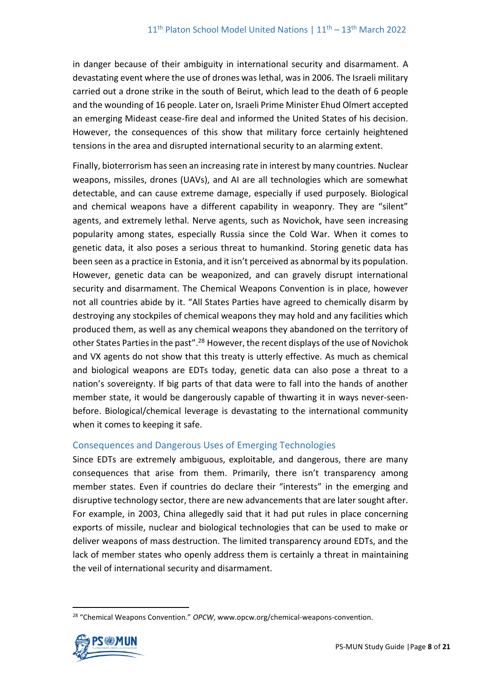in danger because of their ambiguity in international security and disarmament. A devastating event where the use of drones was lethal, was in 2006. The Israeli military carried out a drone strike in the south of Beirut, which lead to the death of 6 people and the wounding of 16 people. Later on, Israeli Prime Minister Ehud Olmert accepted an emerging Mideast cease-fire deal and informed the United States of his decision. However, the consequences of this show that military force certainly heightened tensions in the area and disrupted international security to an alarming extent.

Finally, bioterrorism has seen an increasing rate in interest by many countries. Nuclear weapons, missiles, drones (UAVs), and AI are all technologies which are somewhat detectable, and can cause extreme damage, especially if used purposely. Biological and chemical weapons have a different capability in weaponry. They are "silent" agents, and extremely lethal. Nerve agents, such as Novichok, have seen increasing popularity among states, especially Russia since the Cold War. When it comes to genetic data, it also poses a serious threat to humankind. Storing genetic data has been seen as a practice in Estonia, and it isn't perceived as abnormal by its population. However, genetic data can be weaponized, and can gravely disrupt international security and disarmament. The Chemical Weapons Convention is in place, however not all countries abide by it. "All States Parties have agreed to chemically disarm by destroying any stockpiles of chemical weapons they may hold and any facilities which produced them, as well as any chemical weapons they abandoned on the territory of other States Parties in the past".<sup>28</sup> However, the recent displays of the use of Novichok and VX agents do not show that this treaty is utterly effective. As much as chemical and biological weapons are EDTs today, genetic data can also pose a threat to a nation's sovereignty. If big parts of that data were to fall into the hands of another member state, it would be dangerously capable of thwarting it in ways never-seenbefore. Biological/chemical leverage is devastating to the international community when it comes to keeping it safe.

## Consequences and Dangerous Uses of Emerging Technologies

Since EDTs are extremely ambiguous, exploitable, and dangerous, there are many consequences that arise from them. Primarily, there isn't transparency among member states. Even if countries do declare their "interests" in the emerging and disruptive technology sector, there are new advancements that are later sought after. For example, in 2003, China allegedly said that it had put rules in place concerning exports of missile, nuclear and biological technologies that can be used to make or deliver weapons of mass destruction. The limited transparency around EDTs, and the lack of member states who openly address them is certainly a threat in maintaining the veil of international security and disarmament.

<sup>28</sup> "Chemical Weapons Convention." *OPCW*, www.opcw.org/chemical-weapons-convention.

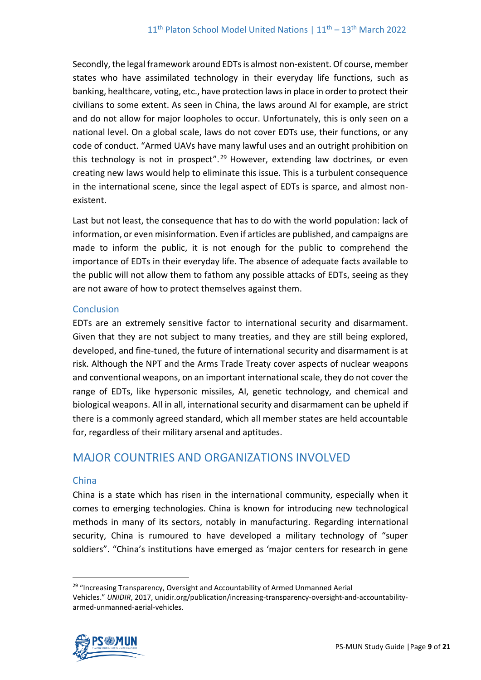Secondly, the legal framework around EDTs is almost non-existent. Of course, member states who have assimilated technology in their everyday life functions, such as banking, healthcare, voting, etc., have protection laws in place in order to protect their civilians to some extent. As seen in China, the laws around AI for example, are strict and do not allow for major loopholes to occur. Unfortunately, this is only seen on a national level. On a global scale, laws do not cover EDTs use, their functions, or any code of conduct. "Armed UAVs have many lawful uses and an outright prohibition on this technology is not in prospect".<sup>29</sup> However, extending law doctrines, or even creating new laws would help to eliminate this issue. This is a turbulent consequence in the international scene, since the legal aspect of EDTs is sparce, and almost nonexistent.

Last but not least, the consequence that has to do with the world population: lack of information, or even misinformation. Even if articles are published, and campaigns are made to inform the public, it is not enough for the public to comprehend the importance of EDTs in their everyday life. The absence of adequate facts available to the public will not allow them to fathom any possible attacks of EDTs, seeing as they are not aware of how to protect themselves against them.

# **Conclusion**

EDTs are an extremely sensitive factor to international security and disarmament. Given that they are not subject to many treaties, and they are still being explored, developed, and fine-tuned, the future of international security and disarmament is at risk. Although the NPT and the Arms Trade Treaty cover aspects of nuclear weapons and conventional weapons, on an important international scale, they do not cover the range of EDTs, like hypersonic missiles, AI, genetic technology, and chemical and biological weapons. All in all, international security and disarmament can be upheld if there is a commonly agreed standard, which all member states are held accountable for, regardless of their military arsenal and aptitudes.

# MAJOR COUNTRIES AND ORGANIZATIONS INVOLVED

## China

China is a state which has risen in the international community, especially when it comes to emerging technologies. China is known for introducing new technological methods in many of its sectors, notably in manufacturing. Regarding international security, China is rumoured to have developed a military technology of "super soldiers". "China's institutions have emerged as 'major centers for research in gene

<sup>&</sup>lt;sup>29</sup> "Increasing Transparency, Oversight and Accountability of Armed Unmanned Aerial Vehicles." *UNIDIR*, 2017, unidir.org/publication/increasing-transparency-oversight-and-accountabilityarmed-unmanned-aerial-vehicles.

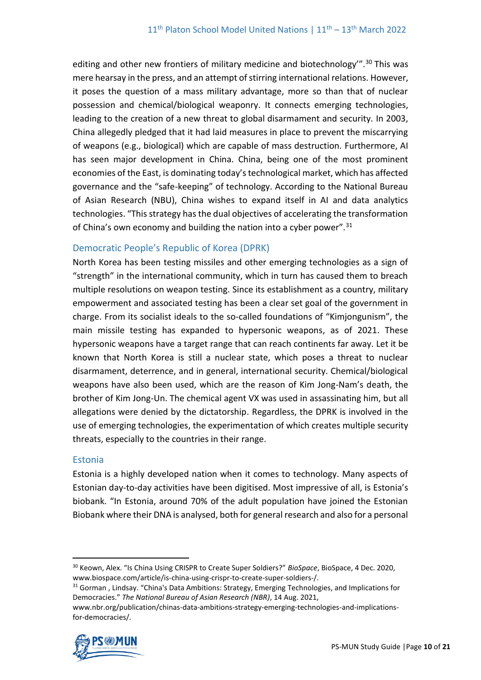editing and other new frontiers of military medicine and biotechnology".<sup>30</sup> This was mere hearsay in the press, and an attempt of stirring international relations. However, it poses the question of a mass military advantage, more so than that of nuclear possession and chemical/biological weaponry. It connects emerging technologies, leading to the creation of a new threat to global disarmament and security. In 2003, China allegedly pledged that it had laid measures in place to prevent the miscarrying of weapons (e.g., biological) which are capable of mass destruction. Furthermore, AI has seen major development in China. China, being one of the most prominent economies of the East, is dominating today's technological market, which has affected governance and the "safe-keeping" of technology. According to the National Bureau of Asian Research (NBU), China wishes to expand itself in AI and data analytics technologies. "This strategy has the dual objectives of accelerating the transformation of China's own economy and building the nation into a cyber power".<sup>31</sup>

## Democratic People's Republic of Korea (DPRK)

North Korea has been testing missiles and other emerging technologies as a sign of "strength" in the international community, which in turn has caused them to breach multiple resolutions on weapon testing. Since its establishment as a country, military empowerment and associated testing has been a clear set goal of the government in charge. From its socialist ideals to the so-called foundations of "Kimjongunism", the main missile testing has expanded to hypersonic weapons, as of 2021. These hypersonic weapons have a target range that can reach continents far away. Let it be known that North Korea is still a nuclear state, which poses a threat to nuclear disarmament, deterrence, and in general, international security. Chemical/biological weapons have also been used, which are the reason of Kim Jong-Nam's death, the brother of Kim Jong-Un. The chemical agent VX was used in assassinating him, but all allegations were denied by the dictatorship. Regardless, the DPRK is involved in the use of emerging technologies, the experimentation of which creates multiple security threats, especially to the countries in their range.

## Estonia

Estonia is a highly developed nation when it comes to technology. Many aspects of Estonian day-to-day activities have been digitised. Most impressive of all, is Estonia's biobank. "In Estonia, around 70% of the adult population have joined the Estonian Biobank where their DNA is analysed, both for general research and also for a personal

www.nbr.org/publication/chinas-data-ambitions-strategy-emerging-technologies-and-implicationsfor-democracies/.



<sup>30</sup> Keown, Alex. "Is China Using CRISPR to Create Super Soldiers?" *BioSpace*, BioSpace, 4 Dec. 2020, www.biospace.com/article/is-china-using-crispr-to-create-super-soldiers-/.

<sup>&</sup>lt;sup>31</sup> Gorman, Lindsay. "China's Data Ambitions: Strategy, Emerging Technologies, and Implications for Democracies." *The National Bureau of Asian Research (NBR)*, 14 Aug. 2021,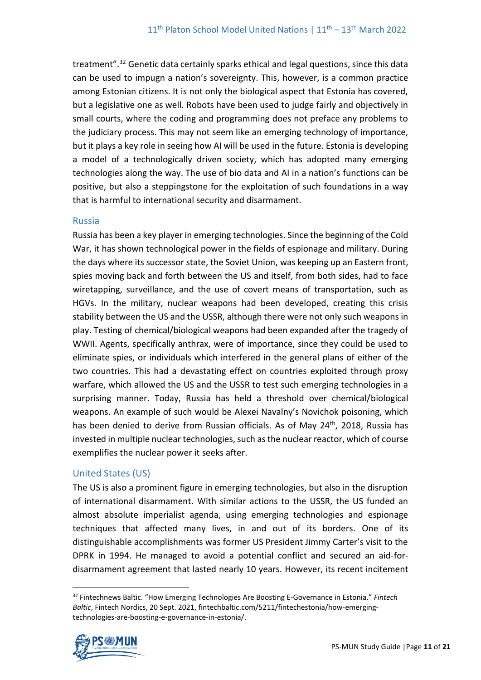treatment".<sup>32</sup> Genetic data certainly sparks ethical and legal questions, since this data can be used to impugn a nation's sovereignty. This, however, is a common practice among Estonian citizens. It is not only the biological aspect that Estonia has covered, but a legislative one as well. Robots have been used to judge fairly and objectively in small courts, where the coding and programming does not preface any problems to the judiciary process. This may not seem like an emerging technology of importance, but it plays a key role in seeing how AI will be used in the future. Estonia is developing a model of a technologically driven society, which has adopted many emerging technologies along the way. The use of bio data and AI in a nation's functions can be positive, but also a steppingstone for the exploitation of such foundations in a way that is harmful to international security and disarmament.

#### Russia

Russia has been a key player in emerging technologies. Since the beginning of the Cold War, it has shown technological power in the fields of espionage and military. During the days where its successor state, the Soviet Union, was keeping up an Eastern front, spies moving back and forth between the US and itself, from both sides, had to face wiretapping, surveillance, and the use of covert means of transportation, such as HGVs. In the military, nuclear weapons had been developed, creating this crisis stability between the US and the USSR, although there were not only such weapons in play. Testing of chemical/biological weapons had been expanded after the tragedy of WWII. Agents, specifically anthrax, were of importance, since they could be used to eliminate spies, or individuals which interfered in the general plans of either of the two countries. This had a devastating effect on countries exploited through proxy warfare, which allowed the US and the USSR to test such emerging technologies in a surprising manner. Today, Russia has held a threshold over chemical/biological weapons. An example of such would be Alexei Navalny's Novichok poisoning, which has been denied to derive from Russian officials. As of May 24<sup>th</sup>, 2018, Russia has invested in multiple nuclear technologies, such as the nuclear reactor, which of course exemplifies the nuclear power it seeks after.

#### United States (US)

The US is also a prominent figure in emerging technologies, but also in the disruption of international disarmament. With similar actions to the USSR, the US funded an almost absolute imperialist agenda, using emerging technologies and espionage techniques that affected many lives, in and out of its borders. One of its distinguishable accomplishments was former US President Jimmy Carter's visit to the DPRK in 1994. He managed to avoid a potential conflict and secured an aid-fordisarmament agreement that lasted nearly 10 years. However, its recent incitement

<sup>32</sup> Fintechnews Baltic. "How Emerging Technologies Are Boosting E-Governance in Estonia." *Fintech Baltic*, Fintech Nordics, 20 Sept. 2021, fintechbaltic.com/5211/fintechestonia/how-emergingtechnologies-are-boosting-e-governance-in-estonia/.

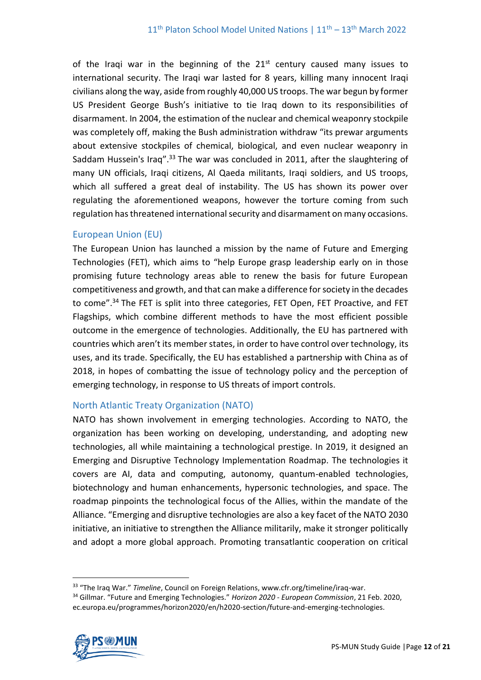of the Iraqi war in the beginning of the  $21<sup>st</sup>$  century caused many issues to international security. The Iraqi war lasted for 8 years, killing many innocent Iraqi civilians along the way, aside from roughly 40,000 US troops. The war begun by former US President George Bush's initiative to tie Iraq down to its responsibilities of disarmament. In 2004, the estimation of the nuclear and chemical weaponry stockpile was completely off, making the Bush administration withdraw "its prewar arguments about extensive stockpiles of chemical, biological, and even nuclear weaponry in Saddam Hussein's Iraq".<sup>33</sup> The war was concluded in 2011, after the slaughtering of many UN officials, Iraqi citizens, Al Qaeda militants, Iraqi soldiers, and US troops, which all suffered a great deal of instability. The US has shown its power over regulating the aforementioned weapons, however the torture coming from such regulation has threatened international security and disarmament on many occasions.

## European Union (EU)

The European Union has launched a mission by the name of Future and Emerging Technologies (FET), which aims to "help Europe grasp leadership early on in those promising future technology areas able to renew the basis for future European competitiveness and growth, and that can make a difference for society in the decades to come".<sup>34</sup> The FET is split into three categories, FET Open, FET Proactive, and FET Flagships, which combine different methods to have the most efficient possible outcome in the emergence of technologies. Additionally, the EU has partnered with countries which aren't its member states, in order to have control over technology, its uses, and its trade. Specifically, the EU has established a partnership with China as of 2018, in hopes of combatting the issue of technology policy and the perception of emerging technology, in response to US threats of import controls.

#### North Atlantic Treaty Organization (NATO)

NATO has shown involvement in emerging technologies. According to NATO, the organization has been working on developing, understanding, and adopting new technologies, all while maintaining a technological prestige. In 2019, it designed an Emerging and Disruptive Technology Implementation Roadmap. The technologies it covers are AI, data and computing, autonomy, quantum-enabled technologies, biotechnology and human enhancements, hypersonic technologies, and space. The roadmap pinpoints the technological focus of the Allies, within the mandate of the Alliance. "Emerging and disruptive technologies are also a key facet of the NATO 2030 initiative, an initiative to strengthen the Alliance militarily, make it stronger politically and adopt a more global approach. Promoting transatlantic cooperation on critical

<sup>34</sup> Gillmar. "Future and Emerging Technologies." *Horizon 2020 - European Commission*, 21 Feb. 2020, ec.europa.eu/programmes/horizon2020/en/h2020-section/future-and-emerging-technologies.



<sup>33</sup> "The Iraq War." *Timeline*, Council on Foreign Relations, www.cfr.org/timeline/iraq-war.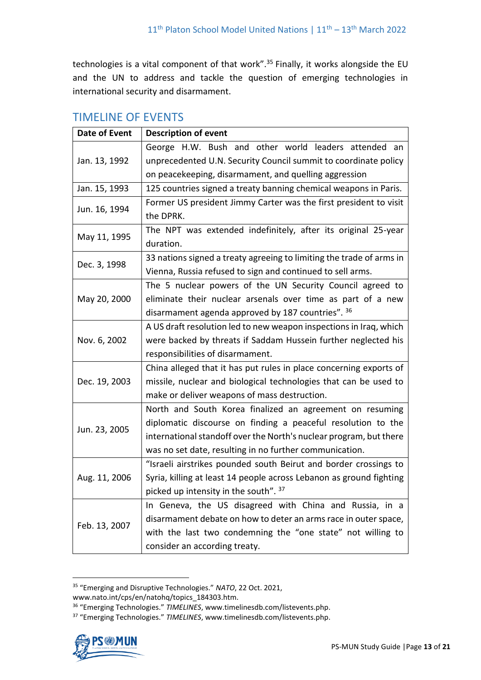technologies is a vital component of that work".<sup>35</sup> Finally, it works alongside the EU and the UN to address and tackle the question of emerging technologies in international security and disarmament.

| <b>Date of Event</b> | <b>Description of event</b>                                          |
|----------------------|----------------------------------------------------------------------|
| Jan. 13, 1992        | George H.W. Bush and other world leaders attended an                 |
|                      | unprecedented U.N. Security Council summit to coordinate policy      |
|                      | on peacekeeping, disarmament, and quelling aggression                |
| Jan. 15, 1993        | 125 countries signed a treaty banning chemical weapons in Paris.     |
| Jun. 16, 1994        | Former US president Jimmy Carter was the first president to visit    |
|                      | the DPRK.                                                            |
| May 11, 1995         | The NPT was extended indefinitely, after its original 25-year        |
|                      | duration.                                                            |
| Dec. 3, 1998         | 33 nations signed a treaty agreeing to limiting the trade of arms in |
|                      | Vienna, Russia refused to sign and continued to sell arms.           |
|                      | The 5 nuclear powers of the UN Security Council agreed to            |
| May 20, 2000         | eliminate their nuclear arsenals over time as part of a new          |
|                      | disarmament agenda approved by 187 countries". 36                    |
| Nov. 6, 2002         | A US draft resolution led to new weapon inspections in Iraq, which   |
|                      | were backed by threats if Saddam Hussein further neglected his       |
|                      | responsibilities of disarmament.                                     |
|                      | China alleged that it has put rules in place concerning exports of   |
| Dec. 19, 2003        | missile, nuclear and biological technologies that can be used to     |
|                      | make or deliver weapons of mass destruction.                         |
|                      | North and South Korea finalized an agreement on resuming             |
| Jun. 23, 2005        | diplomatic discourse on finding a peaceful resolution to the         |
|                      | international standoff over the North's nuclear program, but there   |
|                      | was no set date, resulting in no further communication.              |
| Aug. 11, 2006        | "Israeli airstrikes pounded south Beirut and border crossings to     |
|                      | Syria, killing at least 14 people across Lebanon as ground fighting  |
|                      | picked up intensity in the south". 37                                |
| Feb. 13, 2007        | In Geneva, the US disagreed with China and Russia, in a              |
|                      | disarmament debate on how to deter an arms race in outer space,      |
|                      | with the last two condemning the "one state" not willing to          |
|                      | consider an according treaty.                                        |

# TIMELINE OF EVENTS

<sup>37</sup> "Emerging Technologies." *TIMELINES*, www.timelinesdb.com/listevents.php.



<sup>35</sup> "Emerging and Disruptive Technologies." *NATO*, 22 Oct. 2021,

www.nato.int/cps/en/natohq/topics\_184303.htm.

<sup>36</sup> "Emerging Technologies." *TIMELINES*, www.timelinesdb.com/listevents.php.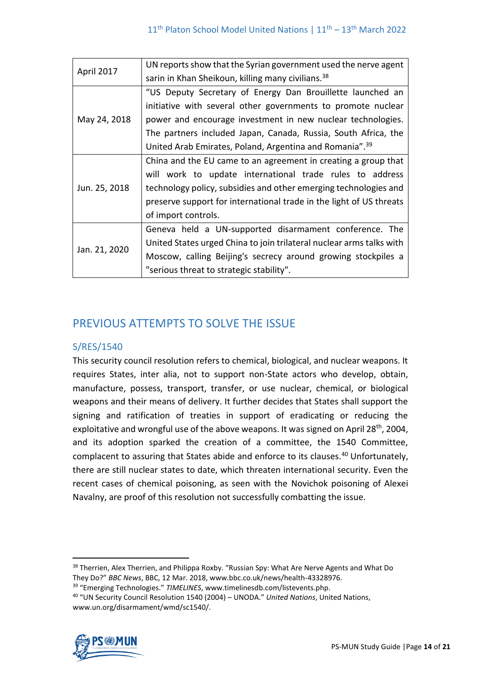| April 2017    | UN reports show that the Syrian government used the nerve agent      |
|---------------|----------------------------------------------------------------------|
|               | sarin in Khan Sheikoun, killing many civilians. <sup>38</sup>        |
| May 24, 2018  | "US Deputy Secretary of Energy Dan Brouillette launched an           |
|               | initiative with several other governments to promote nuclear         |
|               | power and encourage investment in new nuclear technologies.          |
|               | The partners included Japan, Canada, Russia, South Africa, the       |
|               | United Arab Emirates, Poland, Argentina and Romania". <sup>39</sup>  |
| Jun. 25, 2018 | China and the EU came to an agreement in creating a group that       |
|               | will work to update international trade rules to address             |
|               | technology policy, subsidies and other emerging technologies and     |
|               | preserve support for international trade in the light of US threats  |
|               | of import controls.                                                  |
| Jan. 21, 2020 | Geneva held a UN-supported disarmament conference. The               |
|               | United States urged China to join trilateral nuclear arms talks with |
|               | Moscow, calling Beijing's secrecy around growing stockpiles a        |
|               | "serious threat to strategic stability".                             |

# PREVIOUS ATTEMPTS TO SOLVE THE ISSUE

# S/RES/1540

This security council resolution refers to chemical, biological, and nuclear weapons. It requires States, inter alia, not to support non-State actors who develop, obtain, manufacture, possess, transport, transfer, or use nuclear, chemical, or biological weapons and their means of delivery. It further decides that States shall support the signing and ratification of treaties in support of eradicating or reducing the exploitative and wrongful use of the above weapons. It was signed on April 28<sup>th</sup>, 2004, and its adoption sparked the creation of a committee, the 1540 Committee, complacent to assuring that States abide and enforce to its clauses.<sup>40</sup> Unfortunately, there are still nuclear states to date, which threaten international security. Even the recent cases of chemical poisoning, as seen with the Novichok poisoning of Alexei Navalny, are proof of this resolution not successfully combatting the issue.

<sup>40</sup> "UN Security Council Resolution 1540 (2004) – UNODA." *United Nations*, United Nations, www.un.org/disarmament/wmd/sc1540/.



<sup>&</sup>lt;sup>38</sup> Therrien, Alex Therrien, and Philippa Roxby. "Russian Spy: What Are Nerve Agents and What Do They Do?" *BBC News*, BBC, 12 Mar. 2018, www.bbc.co.uk/news/health-43328976.

<sup>39</sup> "Emerging Technologies." *TIMELINES*, www.timelinesdb.com/listevents.php.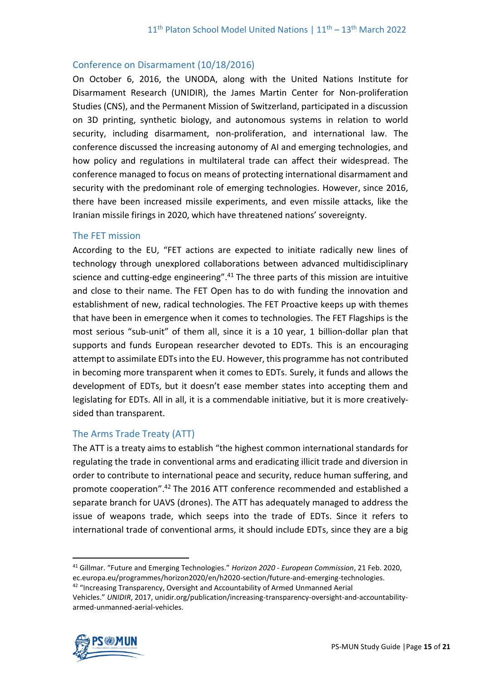## Conference on Disarmament (10/18/2016)

On October 6, 2016, the UNODA, along with the United Nations Institute for Disarmament Research (UNIDIR), the James Martin Center for Non-proliferation Studies (CNS), and the Permanent Mission of Switzerland, participated in a discussion on 3D printing, synthetic biology, and autonomous systems in relation to world security, including disarmament, non-proliferation, and international law. The conference discussed the increasing autonomy of AI and emerging technologies, and how policy and regulations in multilateral trade can affect their widespread. The conference managed to focus on means of protecting international disarmament and security with the predominant role of emerging technologies. However, since 2016, there have been increased missile experiments, and even missile attacks, like the Iranian missile firings in 2020, which have threatened nations' sovereignty.

## The FET mission

According to the EU, "FET actions are expected to initiate radically new lines of technology through unexplored collaborations between advanced multidisciplinary science and cutting-edge engineering".<sup>41</sup> The three parts of this mission are intuitive and close to their name. The FET Open has to do with funding the innovation and establishment of new, radical technologies. The FET Proactive keeps up with themes that have been in emergence when it comes to technologies. The FET Flagships is the most serious "sub-unit" of them all, since it is a 10 year, 1 billion-dollar plan that supports and funds European researcher devoted to EDTs. This is an encouraging attempt to assimilate EDTs into the EU. However, this programme has not contributed in becoming more transparent when it comes to EDTs. Surely, it funds and allows the development of EDTs, but it doesn't ease member states into accepting them and legislating for EDTs. All in all, it is a commendable initiative, but it is more creativelysided than transparent.

## The Arms Trade Treaty (ATT)

The ATT is a treaty aims to establish "the highest common international standards for regulating the trade in conventional arms and eradicating illicit trade and diversion in order to contribute to international peace and security, reduce human suffering, and promote cooperation". <sup>42</sup> The 2016 ATT conference recommended and established a separate branch for UAVS (drones). The ATT has adequately managed to address the issue of weapons trade, which seeps into the trade of EDTs. Since it refers to international trade of conventional arms, it should include EDTs, since they are a big

Vehicles." *UNIDIR*, 2017, unidir.org/publication/increasing-transparency-oversight-and-accountabilityarmed-unmanned-aerial-vehicles.



<sup>41</sup> Gillmar. "Future and Emerging Technologies." *Horizon 2020 - European Commission*, 21 Feb. 2020, ec.europa.eu/programmes/horizon2020/en/h2020-section/future-and-emerging-technologies.

<sup>&</sup>lt;sup>42</sup> "Increasing Transparency, Oversight and Accountability of Armed Unmanned Aerial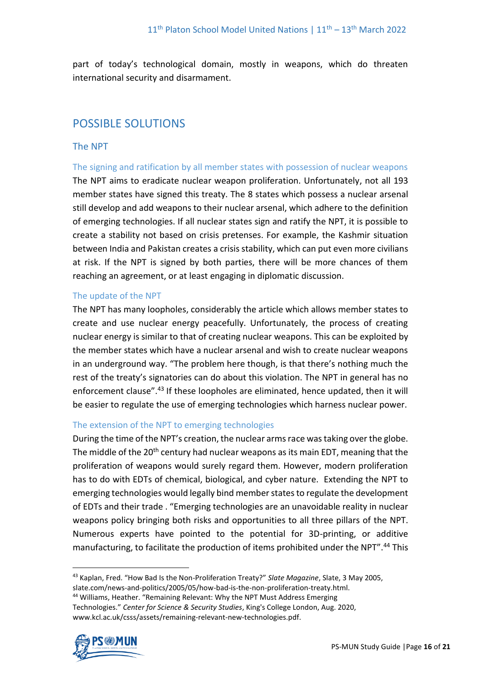part of today's technological domain, mostly in weapons, which do threaten international security and disarmament.

# POSSIBLE SOLUTIONS

## The NPT

The signing and ratification by all member states with possession of nuclear weapons The NPT aims to eradicate nuclear weapon proliferation. Unfortunately, not all 193 member states have signed this treaty. The 8 states which possess a nuclear arsenal still develop and add weapons to their nuclear arsenal, which adhere to the definition of emerging technologies. If all nuclear states sign and ratify the NPT, it is possible to create a stability not based on crisis pretenses. For example, the Kashmir situation between India and Pakistan creates a crisis stability, which can put even more civilians at risk. If the NPT is signed by both parties, there will be more chances of them reaching an agreement, or at least engaging in diplomatic discussion.

#### The update of the NPT

The NPT has many loopholes, considerably the article which allows member states to create and use nuclear energy peacefully. Unfortunately, the process of creating nuclear energy is similar to that of creating nuclear weapons. This can be exploited by the member states which have a nuclear arsenal and wish to create nuclear weapons in an underground way. "The problem here though, is that there's nothing much the rest of the treaty's signatories can do about this violation. The NPT in general has no enforcement clause".<sup>43</sup> If these loopholes are eliminated, hence updated, then it will be easier to regulate the use of emerging technologies which harness nuclear power.

#### The extension of the NPT to emerging technologies

During the time of the NPT's creation, the nuclear arms race was taking over the globe. The middle of the 20<sup>th</sup> century had nuclear weapons as its main EDT, meaning that the proliferation of weapons would surely regard them. However, modern proliferation has to do with EDTs of chemical, biological, and cyber nature. Extending the NPT to emerging technologies would legally bind member states to regulate the development of EDTs and their trade . "Emerging technologies are an unavoidable reality in nuclear weapons policy bringing both risks and opportunities to all three pillars of the NPT. Numerous experts have pointed to the potential for 3D-printing, or additive manufacturing, to facilitate the production of items prohibited under the NPT".<sup>44</sup> This

www.kcl.ac.uk/csss/assets/remaining-relevant-new-technologies.pdf.



<sup>43</sup> Kaplan, Fred. "How Bad Is the Non-Proliferation Treaty?" *Slate Magazine*, Slate, 3 May 2005,

slate.com/news-and-politics/2005/05/how-bad-is-the-non-proliferation-treaty.html. <sup>44</sup> Williams, Heather. "Remaining Relevant: Why the NPT Must Address Emerging Technologies." *Center for Science & Security Studies*, King's College London, Aug. 2020,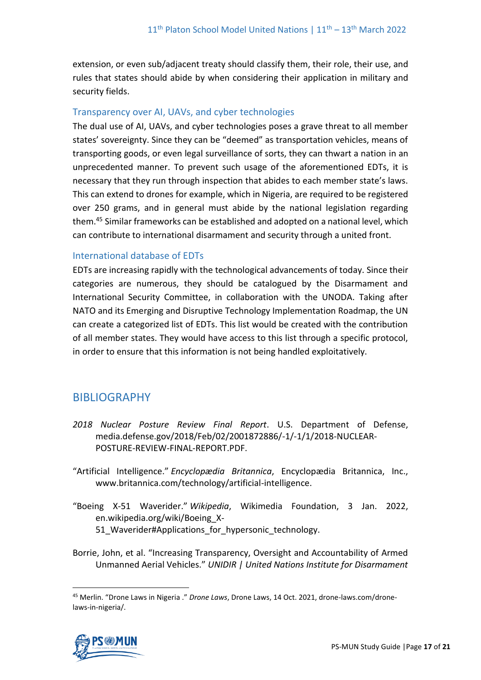extension, or even sub/adjacent treaty should classify them, their role, their use, and rules that states should abide by when considering their application in military and security fields.

#### Transparency over AI, UAVs, and cyber technologies

The dual use of AI, UAVs, and cyber technologies poses a grave threat to all member states' sovereignty. Since they can be "deemed" as transportation vehicles, means of transporting goods, or even legal surveillance of sorts, they can thwart a nation in an unprecedented manner. To prevent such usage of the aforementioned EDTs, it is necessary that they run through inspection that abides to each member state's laws. This can extend to drones for example, which in Nigeria, are required to be registered over 250 grams, and in general must abide by the national legislation regarding them.<sup>45</sup> Similar frameworks can be established and adopted on a national level, which can contribute to international disarmament and security through a united front.

#### International database of EDTs

EDTs are increasing rapidly with the technological advancements of today. Since their categories are numerous, they should be catalogued by the Disarmament and International Security Committee, in collaboration with the UNODA. Taking after NATO and its Emerging and Disruptive Technology Implementation Roadmap, the UN can create a categorized list of EDTs. This list would be created with the contribution of all member states. They would have access to this list through a specific protocol, in order to ensure that this information is not being handled exploitatively.

# BIBLIOGRAPHY

- *2018 Nuclear Posture Review Final Report*. U.S. Department of Defense, media.defense.gov/2018/Feb/02/2001872886/-1/-1/1/2018-NUCLEAR-POSTURE-REVIEW-FINAL-REPORT.PDF.
- "Artificial Intelligence." *Encyclopædia Britannica*, Encyclopædia Britannica, Inc., www.britannica.com/technology/artificial-intelligence.
- "Boeing X-51 Waverider." *Wikipedia*, Wikimedia Foundation, 3 Jan. 2022, en.wikipedia.org/wiki/Boeing\_X-51 Waverider#Applications for hypersonic technology.
- Borrie, John, et al. "Increasing Transparency, Oversight and Accountability of Armed Unmanned Aerial Vehicles." *UNIDIR | United Nations Institute for Disarmament*

<sup>45</sup> Merlin. "Drone Laws in Nigeria ." *Drone Laws*, Drone Laws, 14 Oct. 2021, drone-laws.com/dronelaws-in-nigeria/.

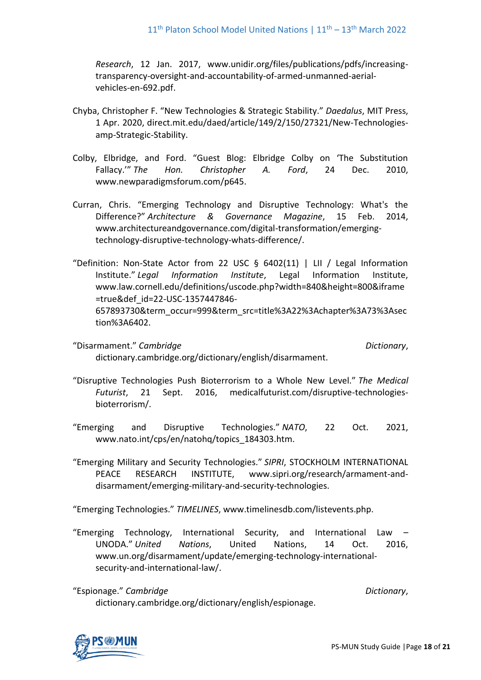*Research*, 12 Jan. 2017, www.unidir.org/files/publications/pdfs/increasingtransparency-oversight-and-accountability-of-armed-unmanned-aerialvehicles-en-692.pdf.

- Chyba, Christopher F. "New Technologies & Strategic Stability." *Daedalus*, MIT Press, 1 Apr. 2020, direct.mit.edu/daed/article/149/2/150/27321/New-Technologiesamp-Strategic-Stability.
- Colby, Elbridge, and Ford. "Guest Blog: Elbridge Colby on 'The Substitution Fallacy.'" *The Hon. Christopher A. Ford*, 24 Dec. 2010, www.newparadigmsforum.com/p645.
- Curran, Chris. "Emerging Technology and Disruptive Technology: What's the Difference?" *Architecture & Governance Magazine*, 15 Feb. 2014, www.architectureandgovernance.com/digital-transformation/emergingtechnology-disruptive-technology-whats-difference/.
- "Definition: Non-State Actor from 22 USC § 6402(11) | LII / Legal Information Institute." *Legal Information Institute*, Legal Information Institute, www.law.cornell.edu/definitions/uscode.php?width=840&height=800&iframe =true&def\_id=22-USC-1357447846- 657893730&term\_occur=999&term\_src=title%3A22%3Achapter%3A73%3Asec tion%3A6402.
- "Disarmament." *Cambridge* Dictionary, dictionary.cambridge.org/dictionary/english/disarmament.

- "Disruptive Technologies Push Bioterrorism to a Whole New Level." *The Medical Futurist*, 21 Sept. 2016, medicalfuturist.com/disruptive-technologiesbioterrorism/.
- "Emerging and Disruptive Technologies." *NATO*, 22 Oct. 2021, www.nato.int/cps/en/natohq/topics\_184303.htm.
- "Emerging Military and Security Technologies." *SIPRI*, STOCKHOLM INTERNATIONAL PEACE RESEARCH INSTITUTE, www.sipri.org/research/armament-anddisarmament/emerging-military-and-security-technologies.

"Emerging Technologies." *TIMELINES*, www.timelinesdb.com/listevents.php.

- "Emerging Technology, International Security, and International Law UNODA." *United Nations*, United Nations, 14 Oct. 2016, www.un.org/disarmament/update/emerging-technology-internationalsecurity-and-international-law/.
- "Espionage." *Cambridge Dictionary*, dictionary.cambridge.org/dictionary/english/espionage.

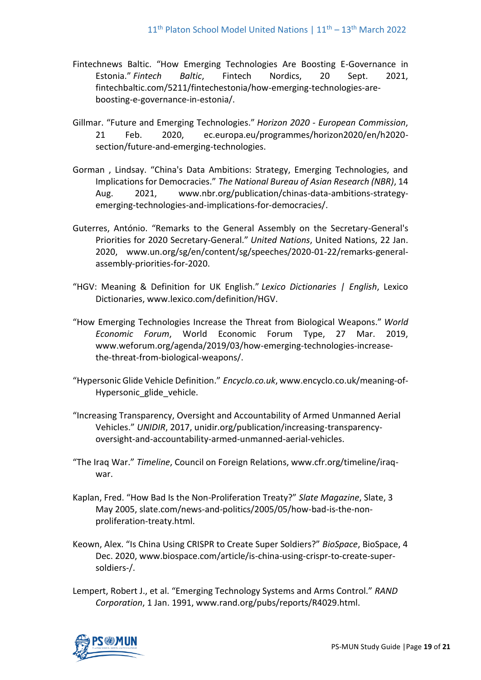- Fintechnews Baltic. "How Emerging Technologies Are Boosting E-Governance in Estonia." *Fintech Baltic*, Fintech Nordics, 20 Sept. 2021, fintechbaltic.com/5211/fintechestonia/how-emerging-technologies-areboosting-e-governance-in-estonia/.
- Gillmar. "Future and Emerging Technologies." *Horizon 2020 - European Commission*, 21 Feb. 2020, ec.europa.eu/programmes/horizon2020/en/h2020 section/future-and-emerging-technologies.
- Gorman , Lindsay. "China's Data Ambitions: Strategy, Emerging Technologies, and Implications for Democracies." *The National Bureau of Asian Research (NBR)*, 14 Aug. 2021, www.nbr.org/publication/chinas-data-ambitions-strategyemerging-technologies-and-implications-for-democracies/.
- Guterres, António. "Remarks to the General Assembly on the Secretary-General's Priorities for 2020 Secretary-General." *United Nations*, United Nations, 22 Jan. 2020, www.un.org/sg/en/content/sg/speeches/2020-01-22/remarks-generalassembly-priorities-for-2020.
- "HGV: Meaning & Definition for UK English." *Lexico Dictionaries | English*, Lexico Dictionaries, www.lexico.com/definition/HGV.
- "How Emerging Technologies Increase the Threat from Biological Weapons." *World Economic Forum*, World Economic Forum Type, 27 Mar. 2019, www.weforum.org/agenda/2019/03/how-emerging-technologies-increasethe-threat-from-biological-weapons/.
- "Hypersonic Glide Vehicle Definition." *Encyclo.co.uk*, www.encyclo.co.uk/meaning-of-Hypersonic glide vehicle.
- "Increasing Transparency, Oversight and Accountability of Armed Unmanned Aerial Vehicles." *UNIDIR*, 2017, unidir.org/publication/increasing-transparencyoversight-and-accountability-armed-unmanned-aerial-vehicles.
- "The Iraq War." *Timeline*, Council on Foreign Relations, www.cfr.org/timeline/iraqwar.
- Kaplan, Fred. "How Bad Is the Non-Proliferation Treaty?" *Slate Magazine*, Slate, 3 May 2005, slate.com/news-and-politics/2005/05/how-bad-is-the-nonproliferation-treaty.html.
- Keown, Alex. "Is China Using CRISPR to Create Super Soldiers?" *BioSpace*, BioSpace, 4 Dec. 2020, www.biospace.com/article/is-china-using-crispr-to-create-supersoldiers-/.
- Lempert, Robert J., et al. "Emerging Technology Systems and Arms Control." *RAND Corporation*, 1 Jan. 1991, www.rand.org/pubs/reports/R4029.html.

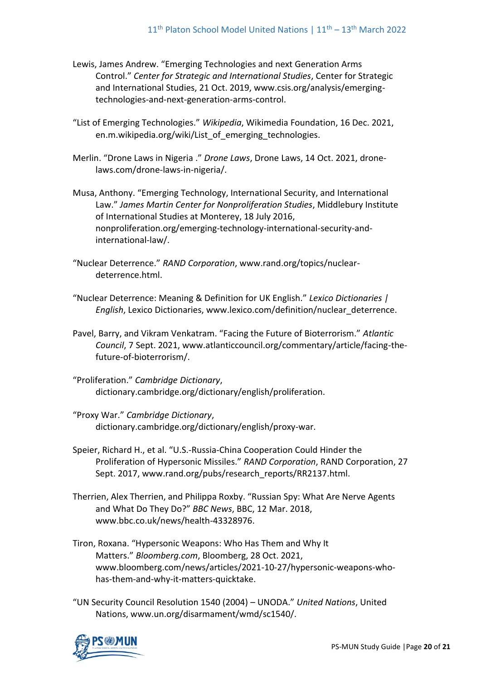- Lewis, James Andrew. "Emerging Technologies and next Generation Arms Control." *Center for Strategic and International Studies*, Center for Strategic and International Studies, 21 Oct. 2019, www.csis.org/analysis/emergingtechnologies-and-next-generation-arms-control.
- "List of Emerging Technologies." *Wikipedia*, Wikimedia Foundation, 16 Dec. 2021, en.m.wikipedia.org/wiki/List of emerging technologies.
- Merlin. "Drone Laws in Nigeria ." *Drone Laws*, Drone Laws, 14 Oct. 2021, dronelaws.com/drone-laws-in-nigeria/.
- Musa, Anthony. "Emerging Technology, International Security, and International Law." *James Martin Center for Nonproliferation Studies*, Middlebury Institute of International Studies at Monterey, 18 July 2016, nonproliferation.org/emerging-technology-international-security-andinternational-law/.
- "Nuclear Deterrence." *RAND Corporation*, www.rand.org/topics/nucleardeterrence.html.
- "Nuclear Deterrence: Meaning & Definition for UK English." *Lexico Dictionaries | English*, Lexico Dictionaries, www.lexico.com/definition/nuclear\_deterrence.
- Pavel, Barry, and Vikram Venkatram. "Facing the Future of Bioterrorism." *Atlantic Council*, 7 Sept. 2021, www.atlanticcouncil.org/commentary/article/facing-thefuture-of-bioterrorism/.
- "Proliferation." *Cambridge Dictionary*, dictionary.cambridge.org/dictionary/english/proliferation.
- "Proxy War." *Cambridge Dictionary*, dictionary.cambridge.org/dictionary/english/proxy-war.
- Speier, Richard H., et al. "U.S.-Russia-China Cooperation Could Hinder the Proliferation of Hypersonic Missiles." *RAND Corporation*, RAND Corporation, 27 Sept. 2017, www.rand.org/pubs/research\_reports/RR2137.html.
- Therrien, Alex Therrien, and Philippa Roxby. "Russian Spy: What Are Nerve Agents and What Do They Do?" *BBC News*, BBC, 12 Mar. 2018, www.bbc.co.uk/news/health-43328976.
- Tiron, Roxana. "Hypersonic Weapons: Who Has Them and Why It Matters." *Bloomberg.com*, Bloomberg, 28 Oct. 2021, www.bloomberg.com/news/articles/2021-10-27/hypersonic-weapons-whohas-them-and-why-it-matters-quicktake.
- "UN Security Council Resolution 1540 (2004) UNODA." *United Nations*, United Nations, www.un.org/disarmament/wmd/sc1540/.